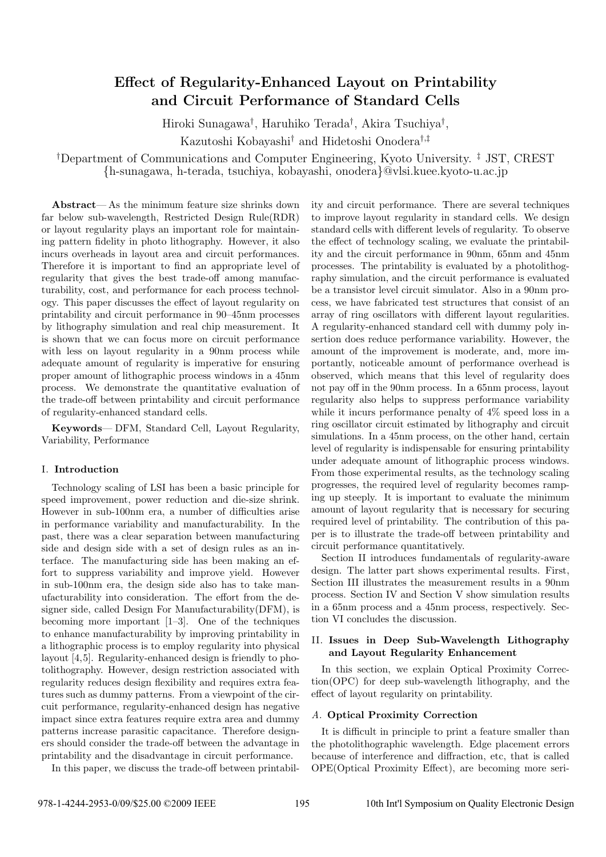# **Effect of Regularity-Enhanced Layout on Printability and Circuit Performance of Standard Cells**

Hiroki Sunagawa*†* , Haruhiko Terada*†* , Akira Tsuchiya*†* , Kazutoshi Kobayashi*†* and Hidetoshi Onodera*†,‡*

*†*Department of Communications and Computer Engineering, Kyoto University. *‡* JST, CREST *{*h-sunagawa, h-terada, tsuchiya, kobayashi, onodera*}*@vlsi.kuee.kyoto-u.ac.jp

**Abstract**— As the minimum feature size shrinks down far below sub-wavelength, Restricted Design Rule(RDR) or layout regularity plays an important role for maintaining pattern fidelity in photo lithography. However, it also incurs overheads in layout area and circuit performances. Therefore it is important to find an appropriate level of regularity that gives the best trade-off among manufacturability, cost, and performance for each process technology. This paper discusses the effect of layout regularity on printability and circuit performance in 90–45nm processes by lithography simulation and real chip measurement. It is shown that we can focus more on circuit performance with less on layout regularity in a 90nm process while adequate amount of regularity is imperative for ensuring proper amount of lithographic process windows in a 45nm process. We demonstrate the quantitative evaluation of the trade-off between printability and circuit performance of regularity-enhanced standard cells.

**Keywords**— DFM, Standard Cell, Layout Regularity, Variability, Performance

#### I. **Introduction**

Technology scaling of LSI has been a basic principle for speed improvement, power reduction and die-size shrink. However in sub-100nm era, a number of difficulties arise in performance variability and manufacturability. In the past, there was a clear separation between manufacturing side and design side with a set of design rules as an interface. The manufacturing side has been making an effort to suppress variability and improve yield. However in sub-100nm era, the design side also has to take manufacturability into consideration. The effort from the designer side, called Design For Manufacturability(DFM), is becoming more important [1–3]. One of the techniques to enhance manufacturability by improving printability in a lithographic process is to employ regularity into physical layout [4,5]. Regularity-enhanced design is friendly to photolithography. However, design restriction associated with regularity reduces design flexibility and requires extra features such as dummy patterns. From a viewpoint of the circuit performance, regularity-enhanced design has negative impact since extra features require extra area and dummy patterns increase parasitic capacitance. Therefore designers should consider the trade-off between the advantage in printability and the disadvantage in circuit performance.

In this paper, we discuss the trade-off between printabil-

ity and circuit performance. There are several techniques to improve layout regularity in standard cells. We design standard cells with different levels of regularity. To observe the effect of technology scaling, we evaluate the printability and the circuit performance in 90nm, 65nm and 45nm processes. The printability is evaluated by a photolithography simulation, and the circuit performance is evaluated be a transistor level circuit simulator. Also in a 90nm process, we have fabricated test structures that consist of an array of ring oscillators with different layout regularities. A regularity-enhanced standard cell with dummy poly insertion does reduce performance variability. However, the amount of the improvement is moderate, and, more importantly, noticeable amount of performance overhead is observed, which means that this level of regularity does not pay off in the 90nm process. In a 65nm process, layout regularity also helps to suppress performance variability while it incurs performance penalty of 4% speed loss in a ring oscillator circuit estimated by lithography and circuit simulations. In a 45nm process, on the other hand, certain level of regularity is indispensable for ensuring printability under adequate amount of lithographic process windows. From those experimental results, as the technology scaling progresses, the required level of regularity becomes ramping up steeply. It is important to evaluate the minimum amount of layout regularity that is necessary for securing required level of printability. The contribution of this paper is to illustrate the trade-off between printability and circuit performance quantitatively.

Section II introduces fundamentals of regularity-aware design. The latter part shows experimental results. First, Section III illustrates the measurement results in a 90nm process. Section IV and Section V show simulation results in a 65nm process and a 45nm process, respectively. Section VI concludes the discussion.

# II. **Issues in Deep Sub-Wavelength Lithography and Layout Regularity Enhancement**

In this section, we explain Optical Proximity Correction(OPC) for deep sub-wavelength lithography, and the effect of layout regularity on printability.

## *A.* **Optical Proximity Correction**

It is difficult in principle to print a feature smaller than the photolithographic wavelength. Edge placement errors because of interference and diffraction, etc, that is called OPE(Optical Proximity Effect), are becoming more seri-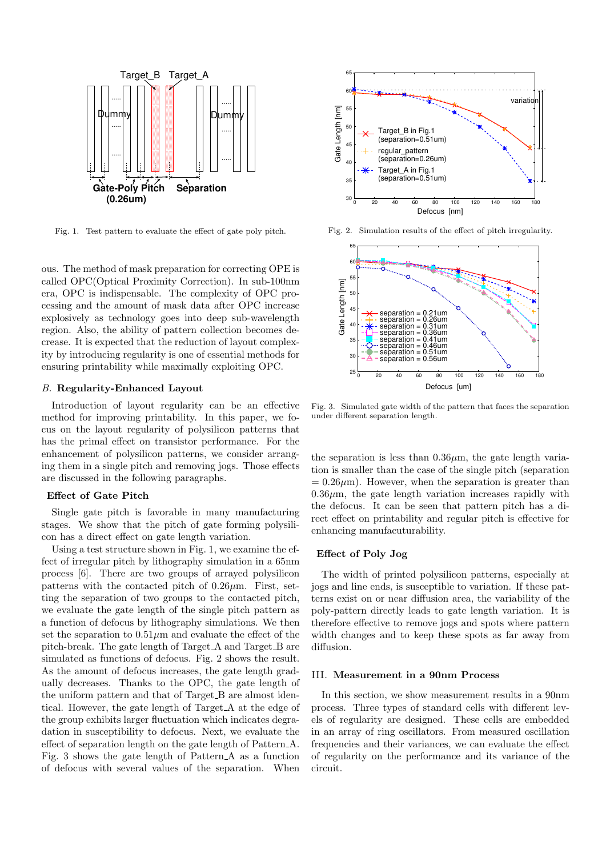

Fig. 1. Test pattern to evaluate the effect of gate poly pitch.

ous. The method of mask preparation for correcting OPE is called OPC(Optical Proximity Correction). In sub-100nm era, OPC is indispensable. The complexity of OPC processing and the amount of mask data after OPC increase explosively as technology goes into deep sub-wavelength region. Also, the ability of pattern collection becomes decrease. It is expected that the reduction of layout complexity by introducing regularity is one of essential methods for ensuring printability while maximally exploiting OPC.

## *B.* **Regularity-Enhanced Layout**

Introduction of layout regularity can be an effective method for improving printability. In this paper, we focus on the layout regularity of polysilicon patterns that has the primal effect on transistor performance. For the enhancement of polysilicon patterns, we consider arranging them in a single pitch and removing jogs. Those effects are discussed in the following paragraphs.

#### **Effect of Gate Pitch**

Single gate pitch is favorable in many manufacturing stages. We show that the pitch of gate forming polysilicon has a direct effect on gate length variation.

Using a test structure shown in Fig. 1, we examine the effect of irregular pitch by lithography simulation in a 65nm process [6]. There are two groups of arrayed polysilicon patterns with the contacted pitch of 0.26*µ*m. First, setting the separation of two groups to the contacted pitch, we evaluate the gate length of the single pitch pattern as a function of defocus by lithography simulations. We then set the separation to  $0.51\mu$ m and evaluate the effect of the pitch-break. The gate length of Target A and Target B are simulated as functions of defocus. Fig. 2 shows the result. As the amount of defocus increases, the gate length gradually decreases. Thanks to the OPC, the gate length of the uniform pattern and that of Target B are almost identical. However, the gate length of Target A at the edge of the group exhibits larger fluctuation which indicates degradation in susceptibility to defocus. Next, we evaluate the effect of separation length on the gate length of Pattern A. Fig. 3 shows the gate length of Pattern A as a function of defocus with several values of the separation. When



Fig. 2. Simulation results of the effect of pitch irregularity.



Fig. 3. Simulated gate width of the pattern that faces the separation under different separation length.

the separation is less than  $0.36\mu$ m, the gate length variation is smaller than the case of the single pitch (separation  $= 0.26 \mu m$ ). However, when the separation is greater than  $0.36\mu$ m, the gate length variation increases rapidly with the defocus. It can be seen that pattern pitch has a direct effect on printability and regular pitch is effective for enhancing manufacuturability.

## **Effect of Poly Jog**

The width of printed polysilicon patterns, especially at jogs and line ends, is susceptible to variation. If these patterns exist on or near diffusion area, the variability of the poly-pattern directly leads to gate length variation. It is therefore effective to remove jogs and spots where pattern width changes and to keep these spots as far away from diffusion.

# III. **Measurement in a 90nm Process**

In this section, we show measurement results in a 90nm process. Three types of standard cells with different levels of regularity are designed. These cells are embedded in an array of ring oscillators. From measured oscillation frequencies and their variances, we can evaluate the effect of regularity on the performance and its variance of the circuit.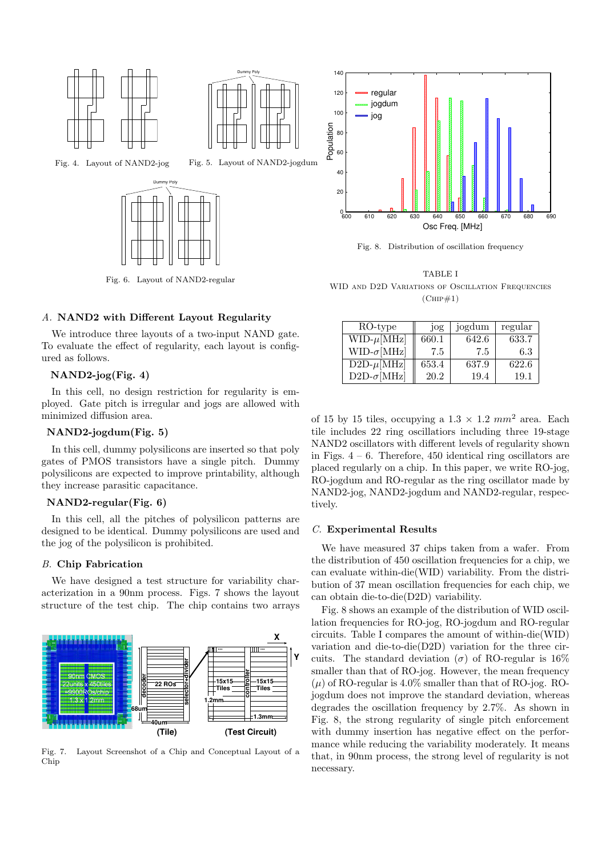



Fig. 5. Layout of NAND2-jogdum

Fig. 4. Layout of NAND2-jog



Fig. 6. Layout of NAND2-regular

# *A.* **NAND2 with Different Layout Regularity**

We introduce three layouts of a two-input NAND gate. To evaluate the effect of regularity, each layout is configured as follows.

# **NAND2-jog(Fig. 4)**

In this cell, no design restriction for regularity is employed. Gate pitch is irregular and jogs are allowed with minimized diffusion area.

# **NAND2-jogdum(Fig. 5)**

In this cell, dummy polysilicons are inserted so that poly gates of PMOS transistors have a single pitch. Dummy polysilicons are expected to improve printability, although they increase parasitic capacitance.

## **NAND2-regular(Fig. 6)**

In this cell, all the pitches of polysilicon patterns are designed to be identical. Dummy polysilicons are used and the jog of the polysilicon is prohibited.

## *B.* **Chip Fabrication**

We have designed a test structure for variability characterization in a 90nm process. Figs. 7 shows the layout structure of the test chip. The chip contains two arrays



Fig. 7. Layout Screenshot of a Chip and Conceptual Layout of a Chip



Fig. 8. Distribution of oscillation frequency

TABLE I WID AND D2D VARIATIONS OF OSCILLATION FREQUENCIES  $(CHP#1)$ 

| RO-type                      |       | jogdum | regular |
|------------------------------|-------|--------|---------|
|                              | jog   |        |         |
| $\text{WID-}\mu[\text{MHz}]$ | 660.1 | 642.6  | 633.7   |
| $WID-\sigma[MHz]$            | 7.5   | 7.5    | 6.3     |
| $D2D-\mu[MHz]$               | 653.4 | 637.9  | 622.6   |
| $D2D-\sigma[MHz]$            | 20.2  | 19.4   | 19.1    |

of 15 by 15 tiles, occupying a  $1.3 \times 1.2$   $mm^2$  area. Each tile includes 22 ring oscillatiors including three 19-stage NAND2 oscillators with different levels of regularity shown in Figs.  $4 - 6$ . Therefore, 450 identical ring oscillators are placed regularly on a chip. In this paper, we write RO-jog, RO-jogdum and RO-regular as the ring oscillator made by NAND2-jog, NAND2-jogdum and NAND2-regular, respectively.

#### *C.* **Experimental Results**

We have measured 37 chips taken from a wafer. From the distribution of 450 oscillation frequencies for a chip, we can evaluate within-die(WID) variability. From the distribution of 37 mean oscillation frequencies for each chip, we can obtain die-to-die(D2D) variability.

Fig. 8 shows an example of the distribution of WID oscillation frequencies for RO-jog, RO-jogdum and RO-regular circuits. Table I compares the amount of within-die(WID) variation and die-to-die(D2D) variation for the three circuits. The standard deviation ( $\sigma$ ) of RO-regular is 16% smaller than that of RO-jog. However, the mean frequency  $(\mu)$  of RO-regular is 4.0% smaller than that of RO-jog. ROjogdum does not improve the standard deviation, whereas degrades the oscillation frequency by 2.7%. As shown in Fig. 8, the strong regularity of single pitch enforcement with dummy insertion has negative effect on the performance while reducing the variability moderately. It means that, in 90nm process, the strong level of regularity is not necessary.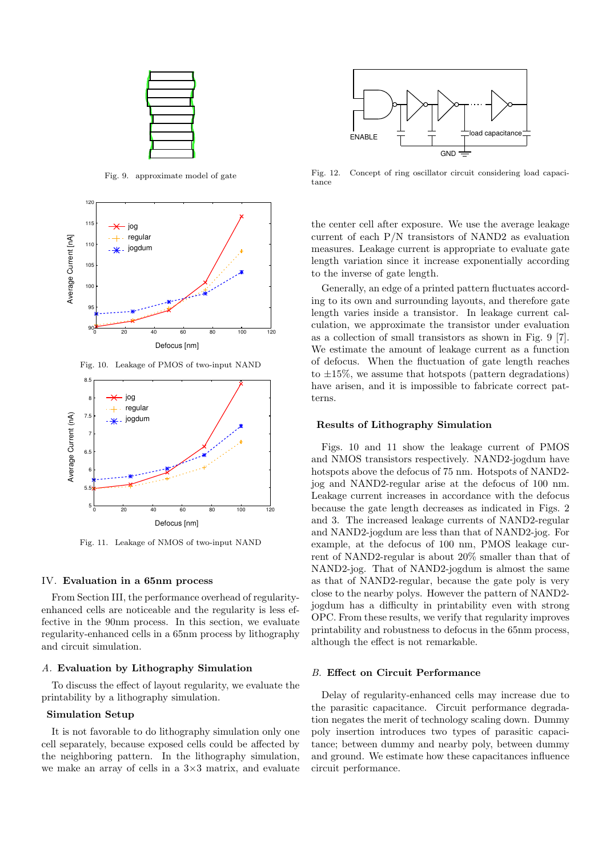

Fig. 9. approximate model of gate



Fig. 10. Leakage of PMOS of two-input NAND



Fig. 11. Leakage of NMOS of two-input NAND

#### IV. **Evaluation in a 65nm process**

From Section III, the performance overhead of regularityenhanced cells are noticeable and the regularity is less effective in the 90nm process. In this section, we evaluate regularity-enhanced cells in a 65nm process by lithography and circuit simulation.

### *A.* **Evaluation by Lithography Simulation**

To discuss the effect of layout regularity, we evaluate the printability by a lithography simulation.

## **Simulation Setup**

It is not favorable to do lithography simulation only one cell separately, because exposed cells could be affected by the neighboring pattern. In the lithography simulation, we make an array of cells in a 3*×*3 matrix, and evaluate



Fig. 12. Concept of ring oscillator circuit considering load capacitance

the center cell after exposure. We use the average leakage current of each P/N transistors of NAND2 as evaluation measures. Leakage current is appropriate to evaluate gate length variation since it increase exponentially according to the inverse of gate length.

Generally, an edge of a printed pattern fluctuates according to its own and surrounding layouts, and therefore gate length varies inside a transistor. In leakage current calculation, we approximate the transistor under evaluation as a collection of small transistors as shown in Fig. 9 [7]. We estimate the amount of leakage current as a function of defocus. When the fluctuation of gate length reaches to *±*15%, we assume that hotspots (pattern degradations) have arisen, and it is impossible to fabricate correct patterns.

#### **Results of Lithography Simulation**

Figs. 10 and 11 show the leakage current of PMOS and NMOS transistors respectively. NAND2-jogdum have hotspots above the defocus of 75 nm. Hotspots of NAND2jog and NAND2-regular arise at the defocus of 100 nm. Leakage current increases in accordance with the defocus because the gate length decreases as indicated in Figs. 2 and 3. The increased leakage currents of NAND2-regular and NAND2-jogdum are less than that of NAND2-jog. For example, at the defocus of 100 nm, PMOS leakage current of NAND2-regular is about 20% smaller than that of NAND2-jog. That of NAND2-jogdum is almost the same as that of NAND2-regular, because the gate poly is very close to the nearby polys. However the pattern of NAND2 jogdum has a difficulty in printability even with strong OPC. From these results, we verify that regularity improves printability and robustness to defocus in the 65nm process, although the effect is not remarkable.

## *B.* **Effect on Circuit Performance**

Delay of regularity-enhanced cells may increase due to the parasitic capacitance. Circuit performance degradation negates the merit of technology scaling down. Dummy poly insertion introduces two types of parasitic capacitance; between dummy and nearby poly, between dummy and ground. We estimate how these capacitances influence circuit performance.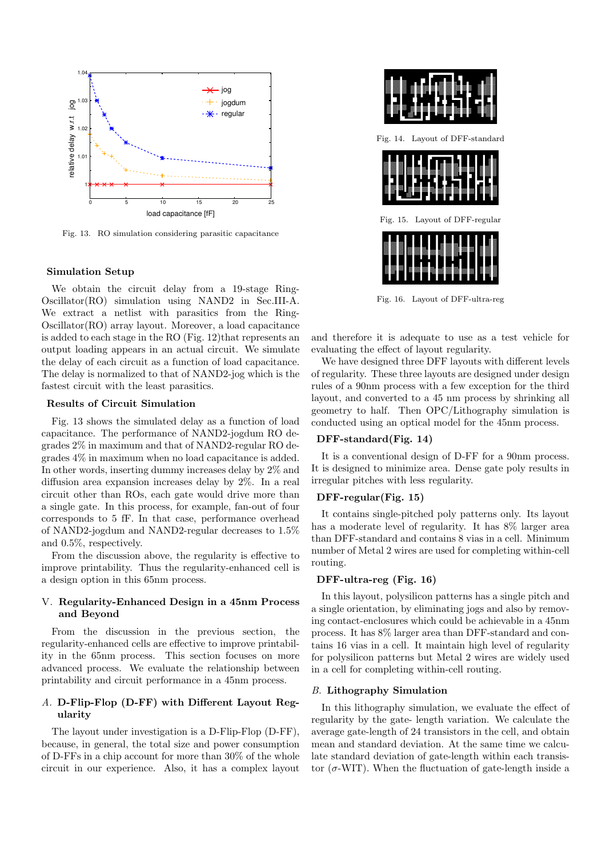

Fig. 13. RO simulation considering parasitic capacitance

#### **Simulation Setup**

We obtain the circuit delay from a 19-stage Ring-Oscillator(RO) simulation using NAND2 in Sec.III-A. We extract a netlist with parasitics from the Ring-Oscillator(RO) array layout. Moreover, a load capacitance is added to each stage in the RO (Fig. 12)that represents an output loading appears in an actual circuit. We simulate the delay of each circuit as a function of load capacitance. The delay is normalized to that of NAND2-jog which is the fastest circuit with the least parasitics.

#### **Results of Circuit Simulation**

Fig. 13 shows the simulated delay as a function of load capacitance. The performance of NAND2-jogdum RO degrades 2% in maximum and that of NAND2-regular RO degrades 4% in maximum when no load capacitance is added. In other words, inserting dummy increases delay by 2% and diffusion area expansion increases delay by 2%. In a real circuit other than ROs, each gate would drive more than a single gate. In this process, for example, fan-out of four corresponds to 5 fF. In that case, performance overhead of NAND2-jogdum and NAND2-regular decreases to 1.5% and 0.5%, respectively.

From the discussion above, the regularity is effective to improve printability. Thus the regularity-enhanced cell is a design option in this 65nm process.

# V. **Regularity-Enhanced Design in a 45nm Process and Beyond**

From the discussion in the previous section, the regularity-enhanced cells are effective to improve printability in the 65nm process. This section focuses on more advanced process. We evaluate the relationship between printability and circuit performance in a 45nm process.

# *A.* **D-Flip-Flop (D-FF) with Different Layout Regularity**

The layout under investigation is a D-Flip-Flop (D-FF), because, in general, the total size and power consumption of D-FFs in a chip account for more than 30% of the whole circuit in our experience. Also, it has a complex layout



Fig. 16. Layout of DFF-ultra-reg

and therefore it is adequate to use as a test vehicle for evaluating the effect of layout regularity.

We have designed three DFF layouts with different levels of regularity. These three layouts are designed under design rules of a 90nm process with a few exception for the third layout, and converted to a 45 nm process by shrinking all geometry to half. Then OPC/Lithography simulation is conducted using an optical model for the 45nm process.

## **DFF-standard(Fig. 14)**

It is a conventional design of D-FF for a 90nm process. It is designed to minimize area. Dense gate poly results in irregular pitches with less regularity.

# **DFF-regular(Fig. 15)**

It contains single-pitched poly patterns only. Its layout has a moderate level of regularity. It has 8% larger area than DFF-standard and contains 8 vias in a cell. Minimum number of Metal 2 wires are used for completing within-cell routing.

# **DFF-ultra-reg (Fig. 16)**

In this layout, polysilicon patterns has a single pitch and a single orientation, by eliminating jogs and also by removing contact-enclosures which could be achievable in a 45nm process. It has 8% larger area than DFF-standard and contains 16 vias in a cell. It maintain high level of regularity for polysilicon patterns but Metal 2 wires are widely used in a cell for completing within-cell routing.

#### *B.* **Lithography Simulation**

In this lithography simulation, we evaluate the effect of regularity by the gate- length variation. We calculate the average gate-length of 24 transistors in the cell, and obtain mean and standard deviation. At the same time we calculate standard deviation of gate-length within each transistor  $(\sigma$ -WIT). When the fluctuation of gate-length inside a